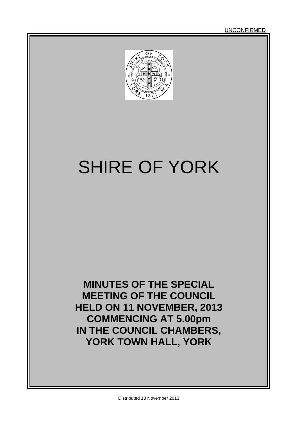UNCONFIRMED



# SHIRE OF YORK

**MINUTES OF THE SPECIAL MEETING OF THE COUNCIL HELD ON 11 NOVEMBER, 2013 COMMENCING AT 5.00pm IN THE COUNCIL CHAMBERS, YORK TOWN HALL, YORK**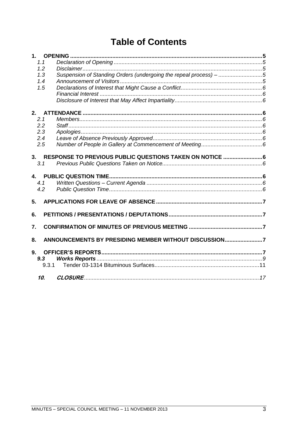# **Table of Contents**

| 1.    |                                                                   |  |
|-------|-------------------------------------------------------------------|--|
| 1.1   |                                                                   |  |
| 1.2   |                                                                   |  |
| 1.3   | Suspension of Standing Orders (undergoing the repeal process) - 5 |  |
| 1.4   |                                                                   |  |
| 1.5   |                                                                   |  |
|       |                                                                   |  |
|       |                                                                   |  |
| 2.    |                                                                   |  |
| 2.1   |                                                                   |  |
| 2.2   |                                                                   |  |
| 2.3   |                                                                   |  |
| 2.4   |                                                                   |  |
| 2.5   |                                                                   |  |
|       |                                                                   |  |
| 3.    |                                                                   |  |
| 3.1   |                                                                   |  |
| 4.    |                                                                   |  |
| 4.1   |                                                                   |  |
| 4.2   |                                                                   |  |
| 5.    |                                                                   |  |
|       |                                                                   |  |
| 6.    |                                                                   |  |
| 7.    |                                                                   |  |
|       |                                                                   |  |
| 8.    | ANNOUNCEMENTS BY PRESIDING MEMBER WITHOUT DISCUSSION7             |  |
| 9.    |                                                                   |  |
| 9.3   |                                                                   |  |
| 9.3.1 |                                                                   |  |
|       |                                                                   |  |
| 10.   |                                                                   |  |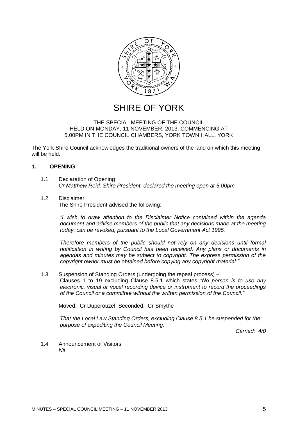

# SHIRE OF YORK

#### THE SPECIAL MEETING OF THE COUNCIL HELD ON MONDAY, 11 NOVEMBER, 2013, COMMENCING AT 5.00PM IN THE COUNCIL CHAMBERS, YORK TOWN HALL, YORK

The York Shire Council acknowledges the traditional owners of the land on which this meeting will be held.

# <span id="page-4-0"></span>**1. OPENING**

- <span id="page-4-1"></span>1.1 Declaration of Opening *Cr Matthew Reid, Shire President, declared the meeting open at 5.00pm.*
- <span id="page-4-2"></span>1.2 Disclaimer

The Shire President advised the following:

*"I wish to draw attention to the Disclaimer Notice contained within the agenda document and advise members of the public that any decisions made at the meeting today, can be revoked, pursuant to the Local Government Act 1995.* 

*Therefore members of the public should not rely on any decisions until formal notification in writing by Council has been received. Any plans or documents in agendas and minutes may be subject to copyright. The express permission of the copyright owner must be obtained before copying any copyright material."*

<span id="page-4-3"></span>1.3 Suspension of Standing Orders (undergoing the repeal process) – Clauses 1 to 19 excluding Clause 8.5.1 which states *"No person is to use any electronic, visual or vocal recording device or instrument to record the proceedings of the Council or a committee without the written permission of the Council."*

Moved: Cr Duperouzel; Seconded: Cr Smythe

*That the Local Law Standing Orders, excluding Clause 8.5.1 be suspended for the purpose of expediting the Council Meeting.*

*Carried: 4/0*

<span id="page-4-4"></span>1.4 Announcement of Visitors *Nil*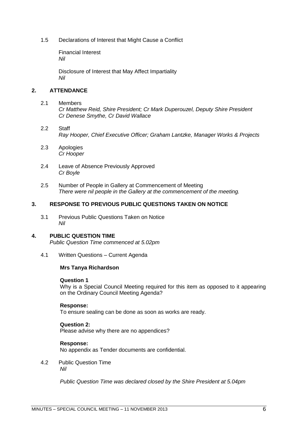<span id="page-5-1"></span><span id="page-5-0"></span>1.5 Declarations of Interest that Might Cause a Conflict

Financial Interest *Nil*

Disclosure of Interest that May Affect Impartiality *Nil*

# <span id="page-5-3"></span><span id="page-5-2"></span>**2. ATTENDANCE**

# <span id="page-5-4"></span>2.1 Members

*Cr Matthew Reid, Shire President; Cr Mark Duperouzel, Deputy Shire President Cr Denese Smythe, Cr David Wallace*

- <span id="page-5-5"></span>2.2 Staff *Ray Hooper, Chief Executive Officer; Graham Lantzke, Manager Works & Projects*
- <span id="page-5-6"></span>2.3 Apologies *Cr Hooper*
- <span id="page-5-7"></span>2.4 Leave of Absence Previously Approved *Cr Boyle*
- <span id="page-5-8"></span>2.5 Number of People in Gallery at Commencement of Meeting *There were nil people in the Gallery at the commencement of the meeting.*

## <span id="page-5-9"></span>**3. RESPONSE TO PREVIOUS PUBLIC QUESTIONS TAKEN ON NOTICE**

<span id="page-5-10"></span>3.1 Previous Public Questions Taken on Notice *Nil*

# <span id="page-5-11"></span>**4. PUBLIC QUESTION TIME**

*Public Question Time commenced at 5.02pm*

<span id="page-5-12"></span>4.1 Written Questions – Current Agenda

# **Mrs Tanya Richardson**

#### **Question 1**

Why is a Special Council Meeting required for this item as opposed to it appearing on the Ordinary Council Meeting Agenda?

#### **Response:**

To ensure sealing can be done as soon as works are ready.

#### **Question 2:**

Please advise why there are no appendices?

#### **Response:**

No appendix as Tender documents are confidential.

<span id="page-5-13"></span>4.2 Public Question Time *Nil*

*Public Question Time was declared closed by the Shire President at 5.04pm*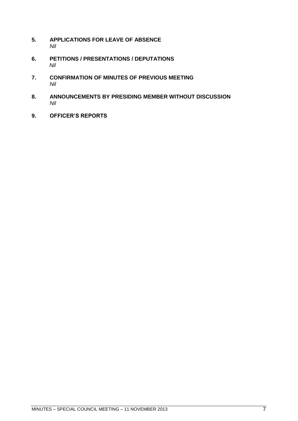- <span id="page-6-0"></span>**5. APPLICATIONS FOR LEAVE OF ABSENCE**  *Nil*
- <span id="page-6-1"></span>**6. PETITIONS / PRESENTATIONS / DEPUTATIONS** *Nil*
- <span id="page-6-2"></span>**7. CONFIRMATION OF MINUTES OF PREVIOUS MEETING** *Nil*
- <span id="page-6-3"></span>**8. ANNOUNCEMENTS BY PRESIDING MEMBER WITHOUT DISCUSSION** *Nil*
- <span id="page-6-4"></span>**9. OFFICER'S REPORTS**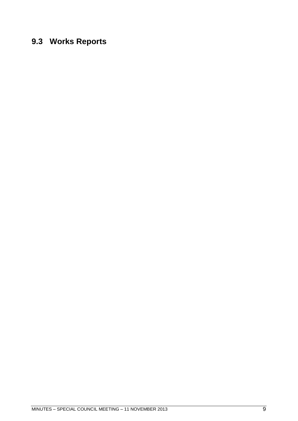# <span id="page-8-0"></span>**9.3 Works Reports**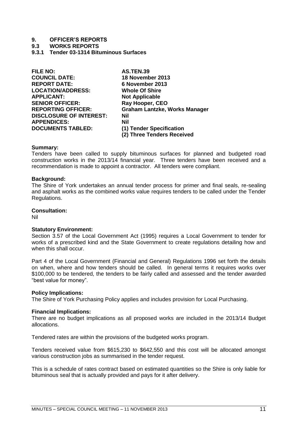## **9. OFFICER'S REPORTS**

#### **9.3 WORKS REPORTS**

<span id="page-10-0"></span>**9.3.1 Tender 03-1314 Bituminous Surfaces**

| <b>FILE NO:</b>                | <b>AS.TEN.39</b>                     |
|--------------------------------|--------------------------------------|
| <b>COUNCIL DATE:</b>           | 18 November 2013                     |
| <b>REPORT DATE:</b>            | 6 November 2013                      |
| <b>LOCATION/ADDRESS:</b>       | <b>Whole Of Shire</b>                |
| <b>APPLICANT:</b>              | <b>Not Applicable</b>                |
| <b>SENIOR OFFICER:</b>         | Ray Hooper, CEO                      |
| <b>REPORTING OFFICER:</b>      | <b>Graham Lantzke, Works Manager</b> |
| <b>DISCLOSURE OF INTEREST:</b> | Nil                                  |
| <b>APPENDICES:</b>             | <b>Nil</b>                           |
| <b>DOCUMENTS TABLED:</b>       | (1) Tender Specification             |
|                                | (2) Three Tenders Received           |

#### **Summary:**

Tenders have been called to supply bituminous surfaces for planned and budgeted road construction works in the 2013/14 financial year. Three tenders have been received and a recommendation is made to appoint a contractor. All tenders were compliant.

#### **Background:**

The Shire of York undertakes an annual tender process for primer and final seals, re-sealing and asphalt works as the combined works value requires tenders to be called under the Tender Regulations.

## **Consultation:**

Nil

#### **Statutory Environment:**

Section 3.57 of the Local Government Act (1995) requires a Local Government to tender for works of a prescribed kind and the State Government to create regulations detailing how and when this shall occur.

Part 4 of the Local Government (Financial and General) Regulations 1996 set forth the details on when, where and how tenders should be called. In general terms it requires works over \$100,000 to be tendered, the tenders to be fairly called and assessed and the tender awarded "best value for money".

#### **Policy Implications:**

The Shire of York Purchasing Policy applies and includes provision for Local Purchasing.

#### **Financial Implications:**

There are no budget implications as all proposed works are included in the 2013/14 Budget allocations.

Tendered rates are within the provisions of the budgeted works program.

Tenders received value from \$615,230 to \$642,550 and this cost will be allocated amongst various construction jobs as summarised in the tender request.

This is a schedule of rates contract based on estimated quantities so the Shire is only liable for bituminous seal that is actually provided and pays for it after delivery.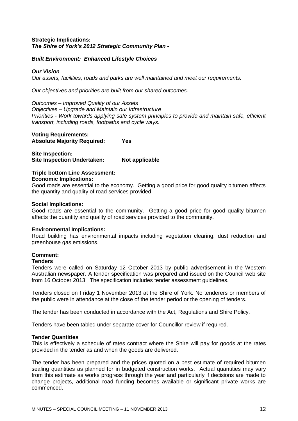# **Strategic Implications:** *The Shire of York's 2012 Strategic Community Plan -*

# *Built Environment: Enhanced Lifestyle Choices*

# *Our Vision*

*Our assets, facilities, roads and parks are well maintained and meet our requirements.*

*Our objectives and priorities are built from our shared outcomes.*

*Outcomes – Improved Quality of our Assets Objectives – Upgrade and Maintain our Infrastructure Priorities - Work towards applying safe system principles to provide and maintain safe, efficient transport, including roads, footpaths and cycle ways.*

## **Voting Requirements: Absolute Majority Required: Yes**

**Site Inspection: Site Inspection Undertaken: Not applicable**

# **Triple bottom Line Assessment:**

#### **Economic Implications:**

Good roads are essential to the economy. Getting a good price for good quality bitumen affects the quantity and quality of road services provided.

#### **Social Implications:**

Good roads are essential to the community. Getting a good price for good quality bitumen affects the quantity and quality of road services provided to the community.

# **Environmental Implications:**

Road building has environmental impacts including vegetation clearing, dust reduction and greenhouse gas emissions.

# **Comment:**

#### **Tenders**

Tenders were called on Saturday 12 October 2013 by public advertisement in the Western Australian newspaper. A tender specification was prepared and issued on the Council web site from 16 October 2013. The specification includes tender assessment guidelines.

Tenders closed on Friday 1 November 2013 at the Shire of York. No tenderers or members of the public were in attendance at the close of the tender period or the opening of tenders.

The tender has been conducted in accordance with the Act, Regulations and Shire Policy.

Tenders have been tabled under separate cover for Councillor review if required.

# **Tender Quantities**

This is effectively a schedule of rates contract where the Shire will pay for goods at the rates provided in the tender as and when the goods are delivered.

The tender has been prepared and the prices quoted on a best estimate of required bitumen sealing quantities as planned for in budgeted construction works. Actual quantities may vary from this estimate as works progress through the year and particularly if decisions are made to change projects, additional road funding becomes available or significant private works are commenced.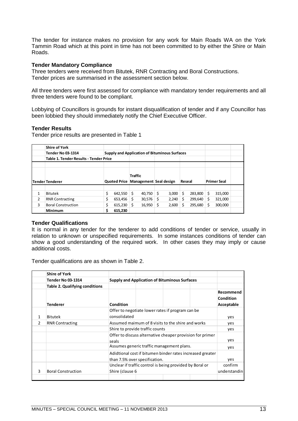The tender for instance makes no provision for any work for Main Roads WA on the York Tammin Road which at this point in time has not been committed to by either the Shire or Main Roads.

## **Tender Mandatory Compliance**

Three tenders were received from Bitutek, RNR Contracting and Boral Constructions. Tender prices are summarised in the assessment section below.

All three tenders were first assessed for compliance with mandatory tender requirements and all three tenders were found to be compliant.

Lobbying of Councillors is grounds for instant disqualification of tender and if any Councillor has been lobbied they should immediately notify the Chief Executive Officer.

### **Tender Results**

Tender price results are presented in Table 1

|                | <b>Shire of York</b>                          |                                     |                |        |                                                      |        |         |    |                    |  |
|----------------|-----------------------------------------------|-------------------------------------|----------------|--------|------------------------------------------------------|--------|---------|----|--------------------|--|
|                | <b>Tender No 03-1314</b>                      |                                     |                |        | <b>Supply and Application of Bituminous Surfaces</b> |        |         |    |                    |  |
|                | <b>Table 1. Tender Results - Tender Price</b> |                                     |                |        |                                                      |        |         |    |                    |  |
|                |                                               |                                     |                |        |                                                      |        |         |    |                    |  |
|                |                                               | Quoted Price Management Seal design | <b>Traffic</b> |        |                                                      | Reseal |         |    | <b>Primer Seal</b> |  |
|                | Tender Tenderer                               |                                     |                |        |                                                      |        |         |    |                    |  |
| 1              | Bitutek                                       | \$<br>642,550                       | Ŝ              | 40,750 | \$<br>3,000                                          | Ś      | 283,800 | Ś  | 315,000            |  |
| $\overline{2}$ | <b>RNR Contracting</b>                        | \$<br>653,456                       | Ś              | 30,576 | \$<br>2,240                                          | S      | 299,640 | Ś  | 321,000            |  |
| 3              | <b>Boral Construction</b>                     | \$<br>615,230                       | Ś              | 16,950 | \$<br>2,600                                          |        | 295,680 | \$ | 300,000            |  |
|                | <b>Minimum</b>                                | \$<br>615,230                       |                |        |                                                      |        |         |    |                    |  |

#### **Tender Qualifications**

It is normal in any tender for the tenderer to add conditions of tender or service, usually in relation to unknown or unspecified requirements. In some instances conditions of tender can show a good understanding of the required work. In other cases they may imply or cause additional costs.

Tender qualifications are as shown in Table 2.

|               | <b>Shire of York</b>                  |                                                                    |  |                                                  |              |                                      |
|---------------|---------------------------------------|--------------------------------------------------------------------|--|--------------------------------------------------|--------------|--------------------------------------|
|               | <b>Tender No 03-1314</b>              | <b>Supply and Application of Bituminous Surfaces</b>               |  |                                                  |              |                                      |
|               | <b>Table 2. Qualifying conditions</b> |                                                                    |  |                                                  |              |                                      |
|               | <b>Tenderer</b>                       | Condition                                                          |  |                                                  |              | Recommend<br>Condition<br>Acceptable |
|               |                                       |                                                                    |  | Offer to negotiate lower rates if program can be |              |                                      |
| 1             | Bitutek                               | consolidated                                                       |  |                                                  |              |                                      |
| $\mathcal{P}$ | <b>RNR Contracting</b>                | Assumed maimum of 8 visits to the shire and works                  |  |                                                  | yes          |                                      |
|               |                                       | Shire to provide traffic counts                                    |  |                                                  |              | yes                                  |
|               |                                       | Offer to discuss alternative cheaper provision for primer<br>seals |  |                                                  |              | yes                                  |
|               |                                       | Assumes generic traffic management plans.                          |  |                                                  |              | yes                                  |
|               |                                       | Adidtional cost if bitumen binder rates increased greater          |  |                                                  |              |                                      |
|               |                                       | than 7.5% over specification.                                      |  |                                                  |              | yes                                  |
|               |                                       | Unclear if traffic control is being provided by Boral or           |  |                                                  | confirm      |                                      |
| 3             | <b>Boral Construction</b>             | Shire (clause 6                                                    |  |                                                  | understandin |                                      |
|               |                                       |                                                                    |  |                                                  |              |                                      |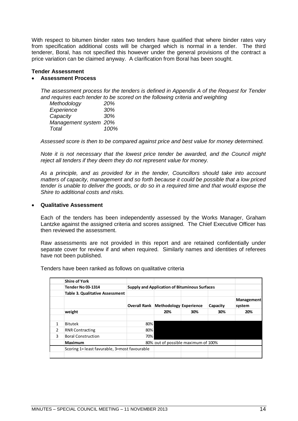With respect to bitumen binder rates two tenders have qualified that where binder rates vary from specification additional costs will be charged which is normal in a tender. The third tenderer, Boral, has not specified this however under the general provisions of the contract a price variation can be claimed anyway. A clarification from Boral has been sought.

#### **Tender Assessment**

#### **Assessment Process**

*The assessment process for the tenders is defined in Appendix A of the Request for Tender and requires each tender to be scored on the following criteria and weighting*

| Methodology           | 20%  |
|-----------------------|------|
| Experience            | 30%  |
| Capacity              | 30%  |
| Management system 20% |      |
| Total                 | 100% |

*Assessed score is then to be compared against price and best value for money determined.*

*Note it is not necessary that the lowest price tender be awarded, and the Council might reject all tenders if they deem they do not represent value for money.* 

*As a principle, and as provided for in the tender, Councillors should take into account matters of capacity, management and so forth because it could be possible that a low priced tender is unable to deliver the goods, or do so in a required time and that would expose the Shire to additional costs and risks.*

# **Qualitative Assessment**

Each of the tenders has been independently assessed by the Works Manager, Graham Lantzke against the assigned criteria and scores assigned. The Chief Executive Officer has then reviewed the assessment.

Raw assessments are not provided in this report and are retained confidentially under separate cover for review if and when required. Similarly names and identities of referees have not been published.

Tenders have been ranked as follows on qualitative criteria

|               | <b>Shire of York</b>                          |                                                      |                                     |     |          |                      |
|---------------|-----------------------------------------------|------------------------------------------------------|-------------------------------------|-----|----------|----------------------|
|               | <b>Tender No 03-1314</b>                      | <b>Supply and Application of Bituminous Surfaces</b> |                                     |     |          |                      |
|               | <b>Table 3. Qualitative Assessment</b>        |                                                      |                                     |     |          |                      |
|               |                                               | <b>Overall Rank</b>                                  | Methodology Experience              |     | Capacity | Management<br>system |
|               | weight                                        |                                                      | 20%                                 | 30% | 30%      | 20%                  |
|               |                                               |                                                      |                                     |     |          |                      |
| 1             | Bitutek                                       | 80%                                                  |                                     |     |          |                      |
| $\mathcal{P}$ | <b>RNR Contracting</b>                        | 80%                                                  |                                     |     |          |                      |
| 3             | <b>Boral Construction</b>                     | 70%                                                  |                                     |     |          |                      |
|               | <b>Maximum</b>                                |                                                      | 80% out of possible maximum of 100% |     |          |                      |
|               | Scoring 1= least favurable, 3=most favourable |                                                      |                                     |     |          |                      |
|               |                                               |                                                      |                                     |     |          |                      |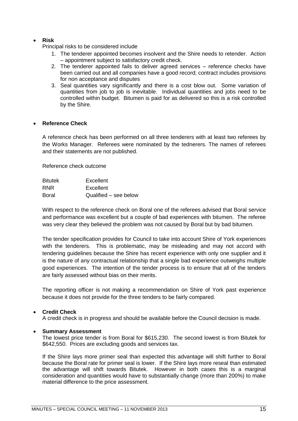# **Risk**

Principal risks to be considered include

- 1. The tenderer appointed becomes insolvent and the Shire needs to retender. Action – appointment subject to satisfactory credit check.
- 2. The tenderer appointed fails to deliver agreed services reference checks have been carried out and all companies have a good record; contract includes provisions for non acceptance and disputes
- 3. Seal quantities vary significantly and there is a cost blow out. Some variation of quantities from job to job is inevitable. Individual quantities and jobs need to be controlled within budget. Bitumen is paid for as delivered so this is a risk controlled by the Shire.

# **Reference Check**

A reference check has been performed on all three tenderers with at least two referees by the Works Manager. Referees were nominated by the tednerers. The names of referees and their statements are not published.

Reference check outcome

| <b>Bitutek</b> | Excellent             |
|----------------|-----------------------|
| <b>RNR</b>     | Excellent             |
| Boral          | Qualified – see below |

With respect to the reference check on Boral one of the referees advised that Boral service and performance was excellent but a couple of bad experiences with bitumen. The referee was very clear they believed the problem was not caused by Boral but by bad bitumen.

The tender specification provides for Council to take into account Shire of York experiences with the tenderers. This is problematic, may be misleading and may not accord with tendering guidelines because the Shire has recent experience with only one supplier and it is the nature of any contractual relationship that a single bad experience outweighs multiple good experiences. The intention of the tender process is to ensure that all of the tenders are fairly assessed without bias on their merits.

The reporting officer is not making a recommendation on Shire of York past experience because it does not provide for the three tenders to be fairly compared.

# **Credit Check**

A credit check is in progress and should be available before the Council decision is made.

# **Summary Assessment**

The lowest price tender is from Boral for \$615,230. The second lowest is from Bitutek for \$642,550. Prices are excluding goods and services tax.

If the Shire lays more primer seal than expected this advantage will shift further to Boral because the Boral rate for primer seal is lower. If the Shire lays more reseal than estimated the advantage will shift towards Bitutek. However in both cases this is a marginal consideration and quantities would have to substantially change (more than 200%) to make material difference to the price assessment.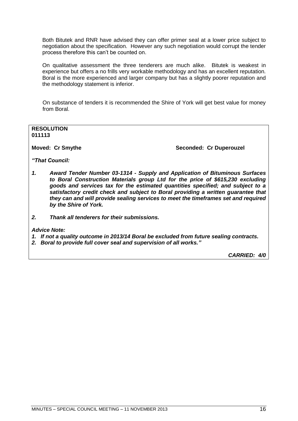Both Bitutek and RNR have advised they can offer primer seal at a lower price subject to negotiation about the specification. However any such negotiation would corrupt the tender process therefore this can't be counted on.

On qualitative assessment the three tenderers are much alike. Bitutek is weakest in experience but offers a no frills very workable methodology and has an excellent reputation. Boral is the more experienced and larger company but has a slightly poorer reputation and the methodology statement is inferior.

On substance of tenders it is recommended the Shire of York will get best value for money from Boral.

**RESOLUTION 011113**

**Moved: Cr Smythe**  Seconded: Cr Duperouzel

*"That Council:*

- *1. Award Tender Number 03-1314 - Supply and Application of Bituminous Surfaces to Boral Construction Materials group Ltd for the price of \$615,230 excluding goods and services tax for the estimated quantities specified; and subject to a satisfactory credit check and subject to Boral providing a written guarantee that they can and will provide sealing services to meet the timeframes set and required by the Shire of York.*
- *2. Thank all tenderers for their submissions.*

*Advice Note:*

- *1. If not a quality outcome in 2013/14 Boral be excluded from future sealing contracts.*
- *2. Boral to provide full cover seal and supervision of all works."*

*CARRIED: 4/0*